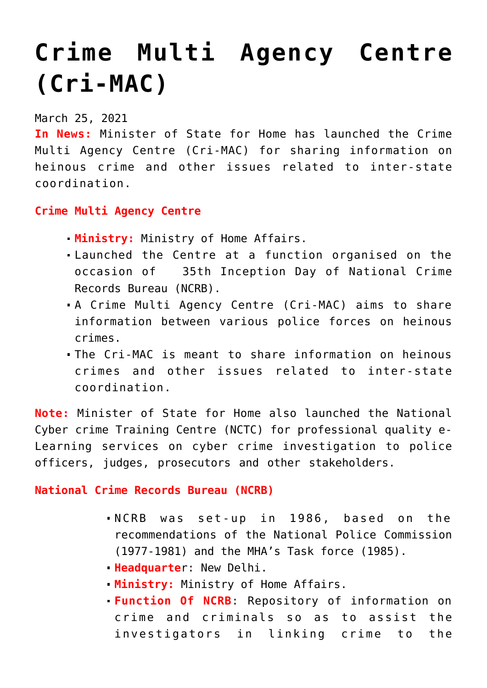## **[Crime Multi Agency Centre](https://journalsofindia.com/crime-multi-agency-centre-cri-mac/) [\(Cri-MAC\)](https://journalsofindia.com/crime-multi-agency-centre-cri-mac/)**

## March 25, 2021

**In News:** Minister of State for Home has launched the Crime Multi Agency Centre (Cri-MAC) for sharing information on heinous crime and other issues related to inter-state coordination.

## **Crime Multi Agency Centre**

- **Ministry:** Ministry of Home Affairs.
- Launched the Centre at a function organised on the occasion of 35th Inception Day of National Crime Records Bureau (NCRB).
- A Crime Multi Agency Centre (Cri-MAC) aims to share information between various police forces on heinous crimes.
- The Cri-MAC is meant to share information on heinous crimes and other issues related to inter-state coordination.

**Note:** Minister of State for Home also launched the National Cyber crime Training Centre (NCTC) for professional quality e-Learning services on cyber crime investigation to police officers, judges, prosecutors and other stakeholders.

**National Crime Records Bureau (NCRB)**

- NCRB was set-up in 1986, based on the recommendations of the National Police Commission (1977-1981) and the MHA's Task force (1985).
- **Headquarte**r: New Delhi.
- **Ministry:** Ministry of Home Affairs.
- **Function Of NCRB**: Repository of information on crime and criminals so as to assist the investigators in linking crime to the